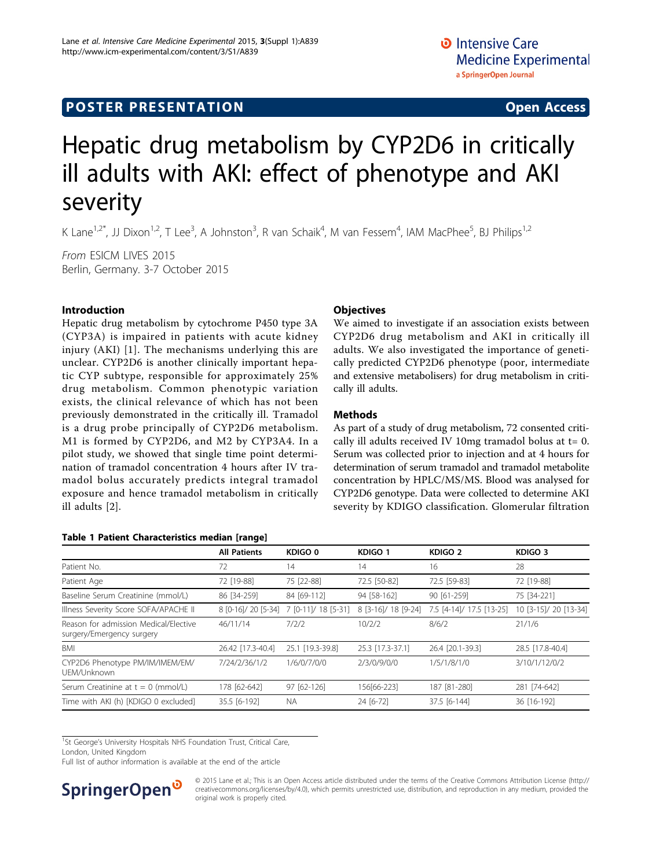## **POSTER PRESENTATION CONSUMING ACCESS**

# Hepatic drug metabolism by CYP2D6 in critically ill adults with AKI: effect of phenotype and AKI severity

K Lane<sup>1,2\*</sup>, JJ Dixon<sup>1,2</sup>, T Lee<sup>3</sup>, A Johnston<sup>3</sup>, R van Schaik<sup>4</sup>, M van Fessem<sup>4</sup>, IAM MacPhee<sup>5</sup>, BJ Philips<sup>1,2</sup>

From ESICM LIVES 2015 Berlin, Germany. 3-7 October 2015

#### Introduction

Hepatic drug metabolism by cytochrome P450 type 3A (CYP3A) is impaired in patients with acute kidney injury (AKI) [[1](#page-2-0)]. The mechanisms underlying this are unclear. CYP2D6 is another clinically important hepatic CYP subtype, responsible for approximately 25% drug metabolism. Common phenotypic variation exists, the clinical relevance of which has not been previously demonstrated in the critically ill. Tramadol is a drug probe principally of CYP2D6 metabolism. M1 is formed by CYP2D6, and M2 by CYP3A4. In a pilot study, we showed that single time point determination of tramadol concentration 4 hours after IV tramadol bolus accurately predicts integral tramadol exposure and hence tramadol metabolism in critically ill adults [[2](#page-2-0)].

#### Table 1 Patient Characteristics median [range]

#### **Objectives**

We aimed to investigate if an association exists between CYP2D6 drug metabolism and AKI in critically ill adults. We also investigated the importance of genetically predicted CYP2D6 phenotype (poor, intermediate and extensive metabolisers) for drug metabolism in critically ill adults.

#### Methods

As part of a study of drug metabolism, 72 consented critically ill adults received IV 10mg tramadol bolus at  $t=0$ . Serum was collected prior to injection and at 4 hours for determination of serum tramadol and tramadol metabolite concentration by HPLC/MS/MS. Blood was analysed for CYP2D6 genotype. Data were collected to determine AKI severity by KDIGO classification. Glomerular filtration

|                                                                    | <b>All Patients</b> | KDIGO <sub>0</sub>  | KDIGO 1             | KDIGO <sub>2</sub>       | KDIGO <sub>3</sub>    |
|--------------------------------------------------------------------|---------------------|---------------------|---------------------|--------------------------|-----------------------|
| Patient No.                                                        | 72                  | 14                  | 14                  | 16                       | 28                    |
| Patient Age                                                        | 72 [19-88]          | 75 [22-88]          | 72.5 [50-82]        | 72.5 [59-83]             | 72 [19-88]            |
| Baseline Serum Creatinine (mmol/L)                                 | 86 [34-259]         | 84 [69-112]         | 94 [58-162]         | 90 [61-259]              | 75 [34-221]           |
| Illness Severity Score SOFA/APACHE II                              | 8 [0-16]/ 20 [5-34] | 7 [0-11]/ 18 [5-31] | 8 [3-16]/ 18 [9-24] | 7.5 [4-14]/ 17.5 [13-25] | 10 [3-15]/ 20 [13-34] |
| Reason for admission Medical/Elective<br>surgery/Emergency surgery | 46/11/14            | 7/2/2               | 10/2/2              | 8/6/2                    | 21/1/6                |
| BMI                                                                | 26.42 [17.3-40.4]   | 25.1 [19.3-39.8]    | 25.3 [17.3-37.1]    | 26.4 [20.1-39.3]         | 28.5 [17.8-40.4]      |
| CYP2D6 Phenotype PM/IM/IMEM/EM/<br>UEM/Unknown                     | 7/24/2/36/1/2       | 1/6/0/7/0/0         | 2/3/0/9/0/0         | 1/5/1/8/1/0              | 3/10/1/12/0/2         |
| Serum Creatinine at $t = 0$ (mmol/L)                               | 178 [62-642]        | 97 [62-126]         | 156[66-223]         | 187 [81-280]             | 281 [74-642]          |
| Time with AKI (h) [KDIGO 0 excluded]                               | 35.5 [6-192]        | <b>NA</b>           | 24 [6-72]           | 37.5 [6-144]             | 36 [16-192]           |
|                                                                    |                     |                     |                     |                          |                       |

<sup>1</sup>St George's University Hospitals NHS Foundation Trust, Critical Care,

London, United Kingdom

Full list of author information is available at the end of the article



© 2015 Lane et al.; This is an Open Access article distributed under the terms of the Creative Commons Attribution License [\(http://](http://creativecommons.org/licenses/by/4.0) [creativecommons.org/licenses/by/4.0](http://creativecommons.org/licenses/by/4.0)), which permits unrestricted use, distribution, and reproduction in any medium, provided the original work is properly cited.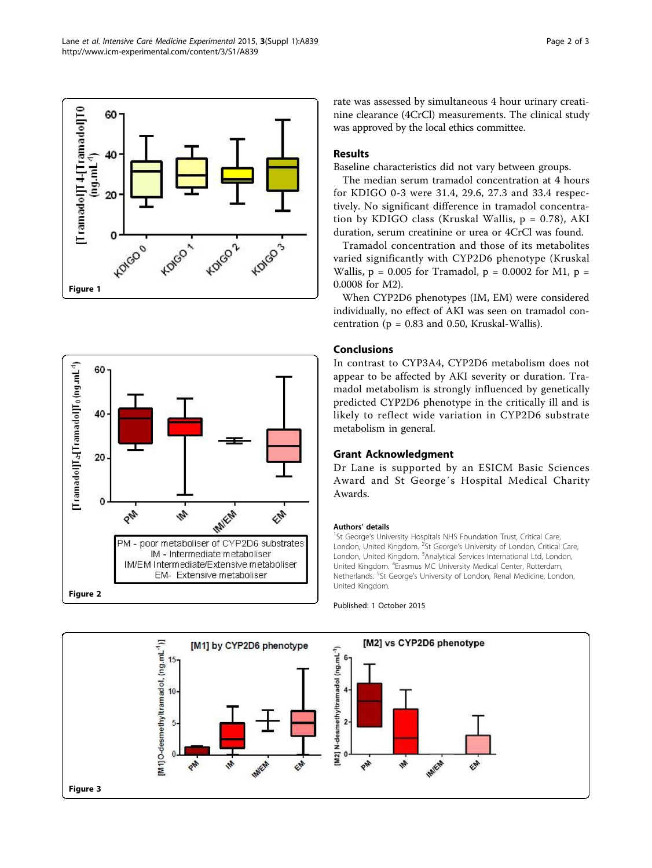Lane et al. Intensive Care Medicine Experimental 2015, 3(Suppl 1):A839 http://www.icm-experimental.com/content/3/S1/A839





rate was assessed by simultaneous 4 hour urinary creatinine clearance (4CrCl) measurements. The clinical study was approved by the local ethics committee.

#### Results

Baseline characteristics did not vary between groups.

The median serum tramadol concentration at 4 hours for KDIGO 0-3 were 31.4, 29.6, 27.3 and 33.4 respectively. No significant difference in tramadol concentration by KDIGO class (Kruskal Wallis,  $p = 0.78$ ), AKI duration, serum creatinine or urea or 4CrCl was found.

Tramadol concentration and those of its metabolites varied significantly with CYP2D6 phenotype (Kruskal Wallis,  $p = 0.005$  for Tramadol,  $p = 0.0002$  for M1,  $p =$ 0.0008 for M2).

When CYP2D6 phenotypes (IM, EM) were considered individually, no effect of AKI was seen on tramadol concentration ( $p = 0.83$  and 0.50, Kruskal-Wallis).

### Conclusions

In contrast to CYP3A4, CYP2D6 metabolism does not appear to be affected by AKI severity or duration. Tramadol metabolism is strongly influenced by genetically predicted CYP2D6 phenotype in the critically ill and is likely to reflect wide variation in CYP2D6 substrate metabolism in general.

### Grant Acknowledgment

Dr Lane is supported by an ESICM Basic Sciences Award and St George´s Hospital Medical Charity Awards.

#### Authors' details <sup>1</sup>

<sup>1</sup>St George's University Hospitals NHS Foundation Trust, Critical Care, London, United Kingdom. <sup>2</sup>St George's University of London, Critical Care London, United Kingdom. <sup>3</sup>Analytical Services International Ltd, London, United Kingdom. <sup>4</sup> Erasmus MC University Medical Center, Rotterdam, Netherlands. <sup>5</sup>St George's University of London, Renal Medicine, London, United Kingdom.

Published: 1 October 2015